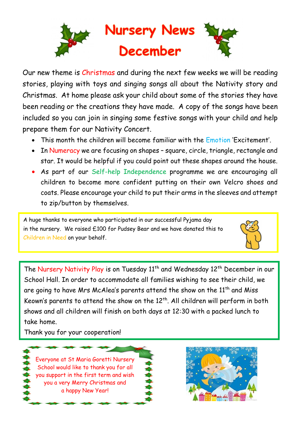

Our new theme is Christmas and during the next few weeks we will be reading stories, playing with toys and singing songs all about the Nativity story and Christmas. At home please ask your child about some of the stories they have been reading or the creations they have made. A copy of the songs have been included so you can join in singing some festive songs with your child and help prepare them for our Nativity Concert.

- This month the children will become familiar with the Emotion 'Excitement'.
- In Numeracy we are focusing on shapes square, circle, triangle, rectangle and star. It would be helpful if you could point out these shapes around the house.
- As part of our Self-help Independence programme we are encouraging all children to become more confident putting on their own Velcro shoes and coats. Please encourage your child to put their arms in the sleeves and attempt to zip/button by themselves.

A huge thanks to everyone who participated in our successful Pyjama day in the nursery. We raised £100 for Pudsey Bear and we have donated this to Children in Need on your behalf.



The Nursery Nativity Play is on Tuesday 11<sup>th</sup> and Wednesday 12<sup>th</sup> December in our School Hall. In order to accommodate all families wishing to see their child, we are going to have Mrs McAlea's parents attend the show on the  $11<sup>th</sup>$  and Miss Keown's parents to attend the show on the  $12^{th}$ . All children will perform in both shows and all children will finish on both days at 12:30 with a packed lunch to take home.

Thank you for your cooperation!